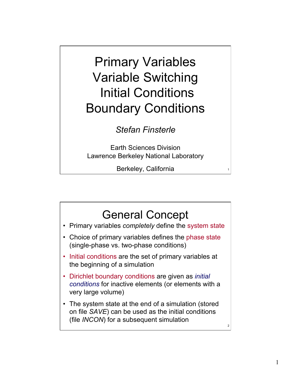## Primary Variables Variable Switching Initial Conditions Boundary Conditions

## *Stefan Finsterle*

Earth Sciences Division Lawrence Berkeley National Laboratory

Berkeley, California

1

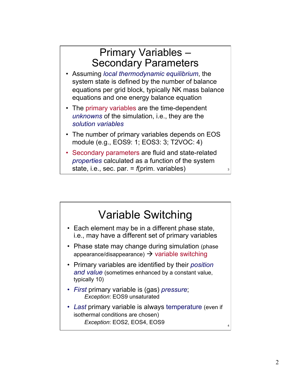## Primary Variables – Secondary Parameters • Assuming *local thermodynamic equilibrium*, the

- system state is defined by the number of balance equations per grid block, typically NK mass balance equations and one energy balance equation
- The primary variables are the time-dependent *unknowns* of the simulation, i.e., they are the *solution variables*
- The number of primary variables depends on EOS module (e.g., EOS9: 1; EOS3: 3; T2VOC: 4)
- Secondary parameters are fluid and state-related *properties* calculated as a function of the system state, i.e., sec. par. = *f*(prim. variables)



3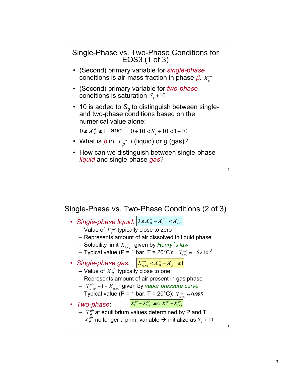

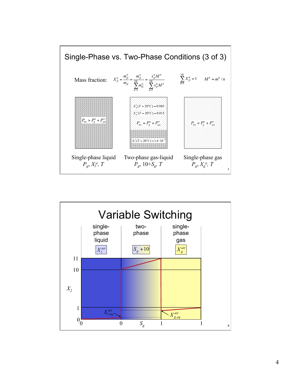

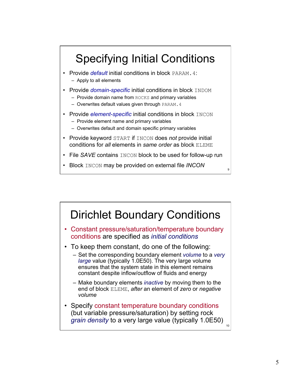

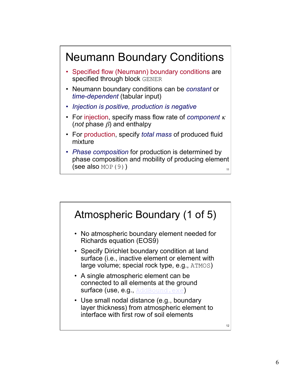

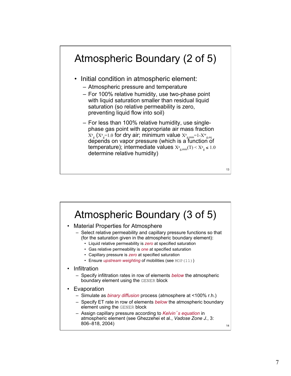